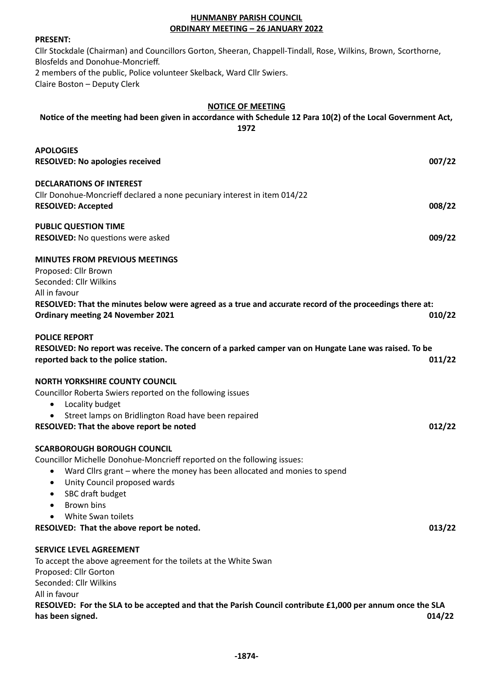## **HUNMANBY PARISH COUNCIL ORDINARY MEETING – 26 JANUARY 2022**

#### **PRESENT:**

Cllr Stockdale (Chairman) and Councillors Gorton, Sheeran, Chappell-Tindall, Rose, Wilkins, Brown, Scorthorne, Blosfelds and Donohue-Moncrieff. 2 members of the public, Police volunteer Skelback, Ward Cllr Swiers. Claire Boston – Deputy Clerk

#### **NOTICE OF MEETING**

# **Notice of the meeting had been given in accordance with Schedule 12 Para 10(2) of the Local Government Act, 1972**

| <b>APOLOGIES</b>                                                                                                                                    |        |
|-----------------------------------------------------------------------------------------------------------------------------------------------------|--------|
| <b>RESOLVED: No apologies received</b>                                                                                                              | 007/22 |
| <b>DECLARATIONS OF INTEREST</b>                                                                                                                     |        |
| Cllr Donohue-Moncrieff declared a none pecuniary interest in item 014/22                                                                            |        |
| <b>RESOLVED: Accepted</b>                                                                                                                           | 008/22 |
| <b>PUBLIC QUESTION TIME</b>                                                                                                                         |        |
| <b>RESOLVED:</b> No questions were asked                                                                                                            | 009/22 |
| <b>MINUTES FROM PREVIOUS MEETINGS</b>                                                                                                               |        |
| Proposed: Cllr Brown                                                                                                                                |        |
| Seconded: Cllr Wilkins                                                                                                                              |        |
| All in favour                                                                                                                                       |        |
| RESOLVED: That the minutes below were agreed as a true and accurate record of the proceedings there at:<br><b>Ordinary meeting 24 November 2021</b> | 010/22 |
| <b>POLICE REPORT</b>                                                                                                                                |        |
| RESOLVED: No report was receive. The concern of a parked camper van on Hungate Lane was raised. To be                                               |        |
| reported back to the police station.                                                                                                                | 011/22 |
| <b>NORTH YORKSHIRE COUNTY COUNCIL</b>                                                                                                               |        |
| Councillor Roberta Swiers reported on the following issues                                                                                          |        |
| Locality budget                                                                                                                                     |        |
| Street lamps on Bridlington Road have been repaired                                                                                                 |        |
| RESOLVED: That the above report be noted                                                                                                            | 012/22 |
| <b>SCARBOROUGH BOROUGH COUNCIL</b>                                                                                                                  |        |
| Councillor Michelle Donohue-Moncrieff reported on the following issues:                                                                             |        |
| Ward Cllrs grant – where the money has been allocated and monies to spend<br>٠                                                                      |        |
| Unity Council proposed wards<br>$\bullet$                                                                                                           |        |
| SBC draft budget<br>$\bullet$                                                                                                                       |        |
| Brown bins<br>$\bullet$                                                                                                                             |        |
| White Swan toilets                                                                                                                                  |        |
| RESOLVED: That the above report be noted.                                                                                                           | 013/22 |
| <b>SERVICE LEVEL AGREEMENT</b>                                                                                                                      |        |
| To accept the above agreement for the toilets at the White Swan                                                                                     |        |
| Proposed: Cllr Gorton                                                                                                                               |        |
| Seconded: Cllr Wilkins                                                                                                                              |        |
| All in favour                                                                                                                                       |        |
| RESOLVED: For the SLA to be accepted and that the Parish Council contribute £1,000 per annum once the SLA                                           |        |
| has been signed.                                                                                                                                    | 014/22 |